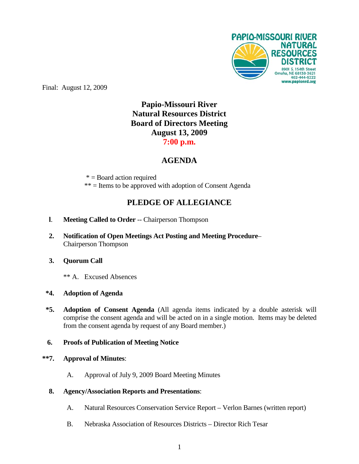

Final: August 12, 2009

# **Papio-Missouri River Natural Resources District Board of Directors Meeting August 13, 2009 7:00 p.m.**

# **AGENDA**

 $* =$ Board action required \*\* = Items to be approved with adoption of Consent Agenda

# **PLEDGE OF ALLEGIANCE**

- **l**. **Meeting Called to Order** -- Chairperson Thompson
- **2. Notification of Open Meetings Act Posting and Meeting Procedure** Chairperson Thompson
- **3. Quorum Call**
	- \*\* A. Excused Absences

# **\*4. Adoption of Agenda**

**\*5. Adoption of Consent Agenda** (All agenda items indicated by a double asterisk will comprise the consent agenda and will be acted on in a single motion. Items may be deleted from the consent agenda by request of any Board member.)

# **6. Proofs of Publication of Meeting Notice**

#### **\*\*7. Approval of Minutes**:

- A. Approval of July 9, 2009 Board Meeting Minutes
- **8. Agency/Association Reports and Presentations**:
	- A. Natural Resources Conservation Service Report Verlon Barnes (written report)
	- B. Nebraska Association of Resources Districts Director Rich Tesar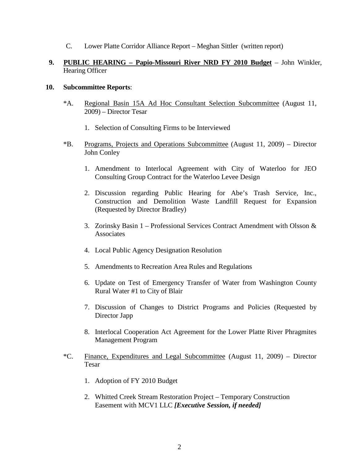C. Lower Platte Corridor Alliance Report – Meghan Sittler (written report)

### **9. PUBLIC HEARING – Papio-Missouri River NRD FY 2010 Budget** – John Winkler, Hearing Officer

#### **10. Subcommittee Reports**:

- \*A. Regional Basin 15A Ad Hoc Consultant Selection Subcommittee (August 11, 2009) – Director Tesar
	- 1. Selection of Consulting Firms to be Interviewed
- \*B. Programs, Projects and Operations Subcommittee (August 11, 2009) Director John Conley
	- 1. Amendment to Interlocal Agreement with City of Waterloo for JEO Consulting Group Contract for the Waterloo Levee Design
	- 2. Discussion regarding Public Hearing for Abe's Trash Service, Inc., Construction and Demolition Waste Landfill Request for Expansion (Requested by Director Bradley)
	- 3. Zorinsky Basin 1 Professional Services Contract Amendment with Olsson  $\&$ **Associates**
	- 4. Local Public Agency Designation Resolution
	- 5. Amendments to Recreation Area Rules and Regulations
	- 6. Update on Test of Emergency Transfer of Water from Washington County Rural Water #1 to City of Blair
	- 7. Discussion of Changes to District Programs and Policies (Requested by Director Japp
	- 8. Interlocal Cooperation Act Agreement for the Lower Platte River Phragmites Management Program
- \*C. Finance, Expenditures and Legal Subcommittee (August 11, 2009) Director Tesar
	- 1. Adoption of FY 2010 Budget
	- 2. Whitted Creek Stream Restoration Project Temporary Construction Easement with MCV1 LLC *[Executive Session, if needed]*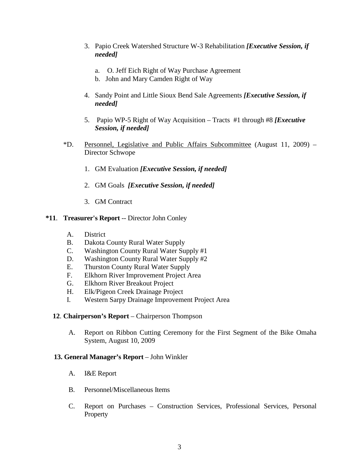- 3. Papio Creek Watershed Structure W-3 Rehabilitation *[Executive Session, if needed]*
	- a. O. Jeff Eich Right of Way Purchase Agreement
	- b. John and Mary Camden Right of Way
- 4. Sandy Point and Little Sioux Bend Sale Agreements *[Executive Session, if needed]*
- 5. Papio WP-5 Right of Way Acquisition Tracts #1 through #8 *[Executive Session, if needed]*
- \*D. Personnel, Legislative and Public Affairs Subcommittee (August 11, 2009) Director Schwope
	- 1. GM Evaluation *[Executive Session, if needed]*
	- 2. GM Goals *[Executive Session, if needed]*
	- 3. GM Contract

# **\*11**. **Treasurer's Report** -- Director John Conley

- A. District
- B. Dakota County Rural Water Supply
- C. Washington County Rural Water Supply #1
- D. Washington County Rural Water Supply #2
- E. Thurston County Rural Water Supply
- F. Elkhorn River Improvement Project Area
- G. Elkhorn River Breakout Project
- H. Elk/Pigeon Creek Drainage Project
- I. Western Sarpy Drainage Improvement Project Area

# **12**. **Chairperson's Report** – Chairperson Thompson

A. Report on Ribbon Cutting Ceremony for the First Segment of the Bike Omaha System, August 10, 2009

# **13. General Manager's Report** – John Winkler

- A. I&E Report
- B. Personnel/Miscellaneous Items
- C. Report on Purchases Construction Services, Professional Services, Personal **Property**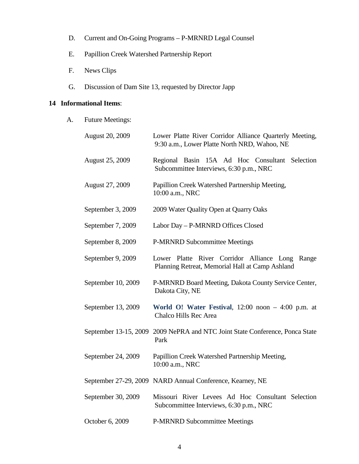- D. Current and On-Going Programs P-MRNRD Legal Counsel
- E. Papillion Creek Watershed Partnership Report
- F. News Clips
- G. Discussion of Dam Site 13, requested by Director Japp

### **14 Informational Items**:

A. Future Meetings:

| August 20, 2009        | Lower Platte River Corridor Alliance Quarterly Meeting,<br>9:30 a.m., Lower Platte North NRD, Wahoo, NE |
|------------------------|---------------------------------------------------------------------------------------------------------|
| <b>August 25, 2009</b> | Regional Basin 15A Ad Hoc Consultant Selection<br>Subcommittee Interviews, 6:30 p.m., NRC               |
| <b>August 27, 2009</b> | Papillion Creek Watershed Partnership Meeting,<br>10:00 a.m., NRC                                       |
| September 3, 2009      | 2009 Water Quality Open at Quarry Oaks                                                                  |
| September 7, 2009      | Labor Day - P-MRNRD Offices Closed                                                                      |
| September 8, 2009      | <b>P-MRNRD Subcommittee Meetings</b>                                                                    |
| September 9, 2009      | Lower Platte River Corridor Alliance Long<br>Range<br>Planning Retreat, Memorial Hall at Camp Ashland   |
| September 10, 2009     | P-MRNRD Board Meeting, Dakota County Service Center,<br>Dakota City, NE                                 |
| September 13, 2009     | World O! Water Festival, $12:00$ noon $-4:00$ p.m. at<br>Chalco Hills Rec Area                          |
|                        | September 13-15, 2009 2009 NePRA and NTC Joint State Conference, Ponca State<br>Park                    |
| September 24, 2009     | Papillion Creek Watershed Partnership Meeting,<br>10:00 a.m., NRC                                       |
|                        | September 27-29, 2009 NARD Annual Conference, Kearney, NE                                               |
| September 30, 2009     | Missouri River Levees Ad Hoc Consultant Selection<br>Subcommittee Interviews, 6:30 p.m., NRC            |
| October 6, 2009        | <b>P-MRNRD Subcommittee Meetings</b>                                                                    |